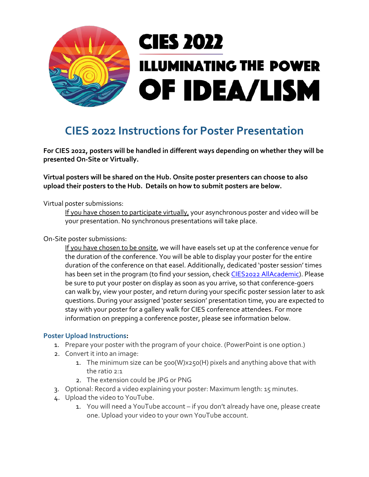

## **CIES 2022 Instructions for Poster Presentation**

**For CIES 2022, posters will be handled in different ways depending on whether they will be presented On-Site or Virtually.** 

**Virtual posters will be shared on the Hub. Onsite poster presenters can choose to also upload their posters to the Hub. Details on how to submit posters are below.**

Virtual poster submissions:

If you have chosen to participate virtually, your asynchronous poster and video will be your presentation. No synchronous presentations will take place.

On-Site poster submissions:

If you have chosen to be onsite, we will have easels set up at the conference venue for the duration of the conference. You will be able to display your poster for the entire duration of the conference on that easel. Additionally, dedicated 'poster session' times has been set in the program (to find your session, chec[k CIES2022 AllAcademic\)](https://convention2.allacademic.com/one/cies/cies22/index.php?click_key=1&obf_var=6666291&PHPSESSID=vn0n8vs24atia09ud3ce0vs23q). Please be sure to put your poster on display as soon as you arrive, so that conference-goers can walk by, view your poster, and return during your specific poster session later to ask questions. During your assigned 'poster session' presentation time, you are expected to stay with your poster for a gallery walk for CIES conference attendees. For more information on prepping a conference poster, please see information below.

## **Poster Upload Instructions:**

- 1. Prepare your poster with the program of your choice. (PowerPoint is one option.)
- 2. Convert it into an image:
	- 1. The minimum size can be 500(W)x250(H) pixels and anything above that with the ratio 2:1
	- 2. The extension could be JPG or PNG
- 3. Optional: Record a video explaining your poster: Maximum length: 15 minutes.
- 4. Upload the video to YouTube.
	- 1. You will need a YouTube account if you don't already have one, please create one. Upload your video to your own YouTube account.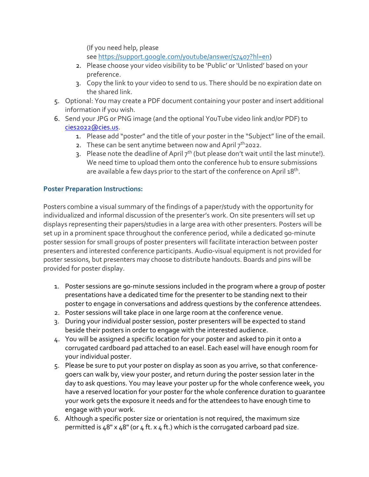(If you need help, please see [https://support.google.com/youtube/answer/57407?hl=en\)](https://support.google.com/youtube/answer/57407?hl=en)

- 2. Please choose your video visibility to be 'Public' or 'Unlisted' based on your preference.
- 3. Copy the link to your video to send to us. There should be no expiration date on the shared link.
- 5. Optional: You may create a PDF document containing your poster and insert additional information if you wish.
- 6. Send your JPG or PNG image (and the optional YouTube video link and/or PDF) to [cies2022@cies.us.](mailto:cies2022@cies.us)
	- 1. Please add "poster" and the title of your poster in the "Subject" line of the email.
	- 2. These can be sent anytime between now and April  $7<sup>th</sup>$ 2022.
	- 3. Please note the deadline of April  $7<sup>th</sup>$  (but please don't wait until the last minute!). We need time to upload them onto the conference hub to ensure submissions are available a few days prior to the start of the conference on April 18<sup>th</sup>.

## **Poster Preparation Instructions:**

Posters combine a visual summary of the findings of a paper/study with the opportunity for individualized and informal discussion of the presenter's work. On site presenters will set up displays representing their papers/studies in a large area with other presenters. Posters will be set up in a prominent space throughout the conference period, while a dedicated 90-minute poster session for small groups of poster presenters will facilitate interaction between poster presenters and interested conference participants. Audio-visual equipment is not provided for poster sessions, but presenters may choose to distribute handouts. Boards and pins will be provided for poster display.

- 1. Poster sessions are 90-minute sessions included in the program where a group of poster presentations have a dedicated time for the presenter to be standing next to their poster to engage in conversations and address questions by the conference attendees.
- 2. Poster sessions will take place in one large room at the conference venue.
- 3. During your individual poster session, poster presenters will be expected to stand beside their posters in order to engage with the interested audience.
- 4. You will be assigned a specific location for your poster and asked to pin it onto a corrugated cardboard pad attached to an easel. Each easel will have enough room for your individual poster.
- 5. Please be sure to put your poster on display as soon as you arrive, so that conferencegoers can walk by, view your poster, and return during the poster session later in the day to ask questions. You may leave your poster up for the whole conference week, you have a reserved location for your poster for the whole conference duration to guarantee your work gets the exposure it needs and for the attendees to have enough time to engage with your work.
- 6. Although a specific poster size or orientation is not required, the maximum size permitted is  $48" \times 48"$  (or  $4$  ft.  $\times$  4 ft.) which is the corrugated carboard pad size.